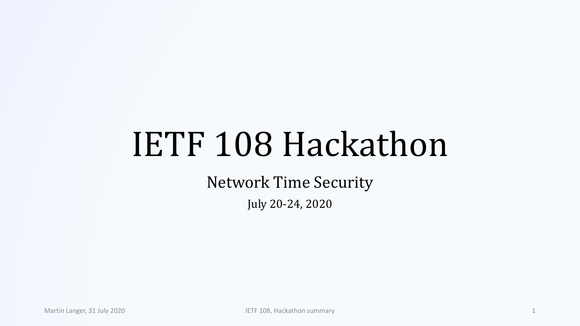# IETF 108 Hackathon

Network Time Security

July 20-24, 2020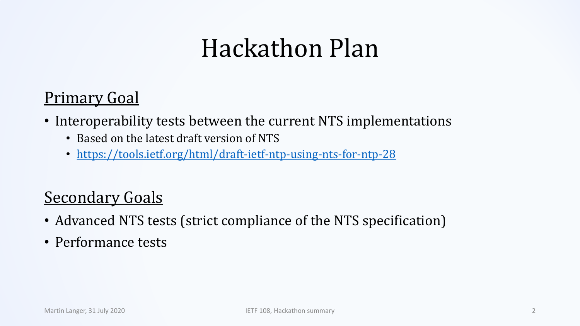### Hackathon Plan

#### Primary Goal

- Interoperability tests between the current NTS implementations
	- Based on the latest draft version of NTS
	- <https://tools.ietf.org/html/draft-ietf-ntp-using-nts-for-ntp-28>

### **Secondary Goals**

- Advanced NTS tests (strict compliance of the NTS specification)
- Performance tests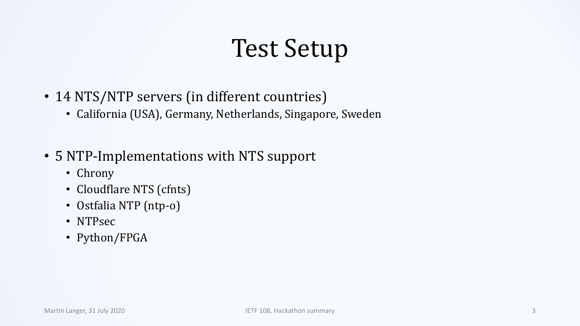### Test Setup

- 14 NTS/NTP servers (in different countries)
	- California (USA), Germany, Netherlands, Singapore, Sweden
- 5 NTP-Implementations with NTS support
	- Chrony
	- Cloudflare NTS (cfnts)
	- Ostfalia NTP (ntp-o)
	- NTPsec
	- Python/FPGA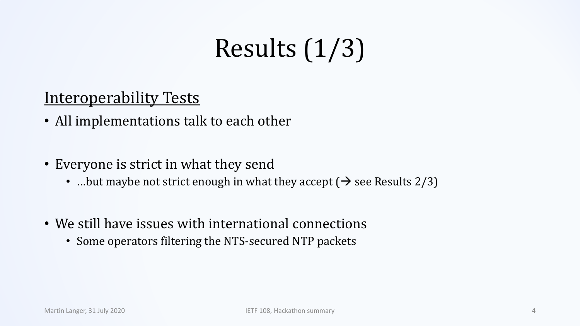### Results (1/3)

#### Interoperability Tests

- All implementations talk to each other
- Everyone is strict in what they send
	- …but maybe not strict enough in what they accept ( $\rightarrow$  see Results 2/3)
- We still have issues with international connections
	- Some operators filtering the NTS-secured NTP packets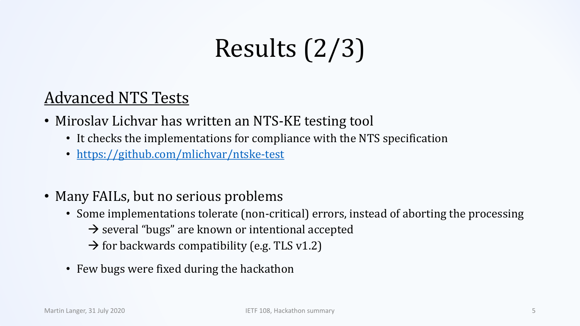## Results (2/3)

#### Advanced NTS Tests

- Miroslav Lichvar has written an NTS-KE testing tool
	- It checks the implementations for compliance with the NTS specification
	- <https://github.com/mlichvar/ntske-test>
- Many FAILs, but no serious problems
	- Some implementations tolerate (non-critical) errors, instead of aborting the processing  $\rightarrow$  several "bugs" are known or intentional accepted
		- $\rightarrow$  for backwards compatibility (e.g. TLS v1.2)
	- Few bugs were fixed during the hackathon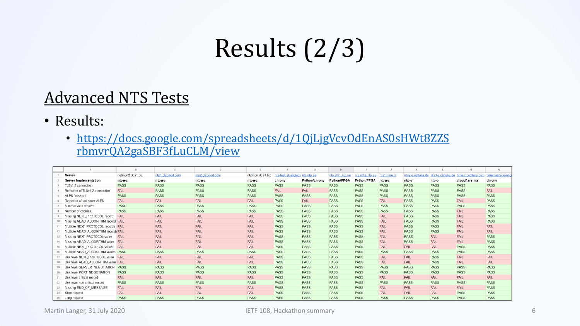### Results (2/3)

#### Advanced NTS Tests

• Results:

#### • [https://docs.google.com/spreadsheets/d/1QjLjgVcvOdEnAS0sHWt8ZZS](https://docs.google.com/spreadsheets/d/1QjLjgVcvOdEnAS0sHWt8ZZSrbmvrQA2gaSBF3fLuCLM/view) rbmvrQA2gaSBF3fLuCLM/view

|    |                                      |                  | $\mathbf{C}$     | D                |                 |                                 | G                    |                    |                    |              |             |                                       | M                                   | N           |
|----|--------------------------------------|------------------|------------------|------------------|-----------------|---------------------------------|----------------------|--------------------|--------------------|--------------|-------------|---------------------------------------|-------------------------------------|-------------|
|    | <b>Server</b>                        | netmon2.dcs1.biz | ntp1.glypnod.com | ntp2.glypnod.com | ntpmon.dcs1.biz | nts-test.strangled.r nts.ntp.se |                      | nts.sth1.ntp.se    | nts.sth2.ntp.se    | nts1.time.nl |             | nts2-e.ostfalia.de nts3-e.ostfalia.de | time.cloudflare.com timemaster.evan |             |
|    | <b>Server Implementation</b>         | ntpsec           | ntpsec           | ntpsec           | ntpsec          | chrony                          | <b>Python/chrony</b> | <b>Python/FPGA</b> | <b>Python/FPGA</b> | ntpsec       | ntp-o       | ntp-o                                 | cloudflare nts                      | chrony      |
|    | TLSv1.3 connection                   | <b>PASS</b>      | <b>PASS</b>      | <b>PASS</b>      | <b>PASS</b>     | <b>PASS</b>                     | <b>PASS</b>          | <b>PASS</b>        | <b>PASS</b>        | <b>PASS</b>  | <b>PASS</b> | <b>PASS</b>                           | <b>PASS</b>                         | <b>PASS</b> |
|    | Rejection of TLSv1.2 connection      | <b>FAIL</b>      | <b>PASS</b>      | <b>PASS</b>      | <b>PASS</b>     | <b>FAIL</b>                     | <b>FAIL</b>          | <b>PASS</b>        | <b>PASS</b>        | <b>PASS</b>  | <b>PASS</b> | <b>PASS</b>                           | <b>PASS</b>                         | <b>FAIL</b> |
|    | ALPN "ntske/1"                       | <b>PASS</b>      | <b>PASS</b>      | <b>PASS</b>      | <b>PASS</b>     | <b>PASS</b>                     | <b>PASS</b>          | <b>PASS</b>        | <b>PASS</b>        | <b>PASS</b>  | <b>PASS</b> | <b>PASS</b>                           | <b>PASS</b>                         | <b>PASS</b> |
|    | Rejection of unknown ALPN            | <b>FAIL</b>      | <b>FAIL</b>      | FAIL             | <b>FAIL</b>     | <b>PASS</b>                     | <b>FAIL</b>          | <b>PASS</b>        | <b>PASS</b>        | FAIL         | <b>PASS</b> | <b>PASS</b>                           | <b>FAIL</b>                         | <b>PASS</b> |
|    | Minimal valid request                | <b>PASS</b>      | <b>PASS</b>      | <b>PASS</b>      | <b>PASS</b>     | <b>PASS</b>                     | <b>PASS</b>          | <b>PASS</b>        | <b>PASS</b>        | <b>PASS</b>  | <b>PASS</b> | <b>PASS</b>                           | <b>PASS</b>                         | <b>PASS</b> |
|    | Number of cookies                    | <b>PASS</b>      | <b>PASS</b>      | <b>PASS</b>      | <b>PASS</b>     | <b>PASS</b>                     | <b>PASS</b>          | <b>PASS</b>        | <b>PASS</b>        | <b>PASS</b>  | <b>PASS</b> | <b>PASS</b>                           | FAIL                                | <b>PASS</b> |
|    | Missing NEXT PROTOCOL record         | <b>FAIL</b>      | <b>FAIL</b>      | FAIL             | <b>FAIL</b>     | <b>PASS</b>                     | <b>PASS</b>          | <b>PASS</b>        | <b>PASS</b>        | <b>FAIL</b>  | <b>PASS</b> | <b>PASS</b>                           | <b>FAIL</b>                         | <b>PASS</b> |
|    | Missing AEAD ALGORITHM record FAIL   |                  | <b>FAIL</b>      | FAIL             | <b>FAIL</b>     | <b>PASS</b>                     | <b>PASS</b>          | <b>PASS</b>        | <b>PASS</b>        | FAIL         | <b>PASS</b> | <b>PASS</b>                           | FAIL                                | <b>PASS</b> |
|    | Multiple NEXT PROTOCOL records FAIL  |                  | <b>FAIL</b>      | FAIL             | <b>FAIL</b>     | <b>PASS</b>                     | <b>PASS</b>          | <b>PASS</b>        | <b>PASS</b>        | FAIL         | <b>PASS</b> | <b>PASS</b>                           | <b>FAIL</b>                         | <b>FAIL</b> |
|    | Multiple AEAD ALGORITHM records FAIL |                  | <b>FAIL</b>      | FAIL             | FAIL            | <b>PASS</b>                     | <b>PASS</b>          | <b>PASS</b>        | <b>PASS</b>        | FAIL         | <b>PASS</b> | <b>PASS</b>                           | FAIL                                | <b>FAIL</b> |
|    | Missing NEXT PROTOCOL value          | <b>FAIL</b>      | <b>FAIL</b>      | <b>FAIL</b>      | <b>FAIL</b>     | <b>PASS</b>                     | <b>PASS</b>          | <b>PASS</b>        | <b>PASS</b>        | FAIL         | <b>PASS</b> | <b>FAIL</b>                           | <b>FAIL</b>                         | <b>PASS</b> |
|    | Missing AEAD ALGORITHM value FAIL    |                  | <b>FAIL</b>      | FAIL             | <b>FAIL</b>     | <b>PASS</b>                     | <b>PASS</b>          | <b>PASS</b>        | <b>PASS</b>        | <b>FAIL</b>  | <b>PASS</b> | <b>FAIL</b>                           | FAIL                                | <b>PASS</b> |
|    | Multiple NEXT PROTOCOL values        | <b>FAIL</b>      | <b>FAIL</b>      | FAIL             | <b>FAIL</b>     | <b>PASS</b>                     | <b>PASS</b>          | <b>PASS</b>        | <b>PASS</b>        | <b>FAIL</b>  | FAIL        | <b>FAIL</b>                           | <b>PASS</b>                         | <b>PASS</b> |
|    | Multiple AEAD ALGORITHM values PASS  |                  | <b>PASS</b>      | <b>PASS</b>      | <b>PASS</b>     | <b>PASS</b>                     | <b>PASS</b>          | <b>PASS</b>        | <b>PASS</b>        | <b>PASS</b>  | <b>PASS</b> | <b>PASS</b>                           | <b>PASS</b>                         | <b>PASS</b> |
| 17 | Unknown NEXT PROTOCOL value FAIL     |                  | <b>FAIL</b>      | FAIL             | <b>FAIL</b>     | <b>PASS</b>                     | <b>PASS</b>          | <b>PASS</b>        | <b>PASS</b>        | <b>FAIL</b>  | FAIL        | <b>PASS</b>                           | <b>FAIL</b>                         | <b>FAIL</b> |
| 18 | Unknown AEAD ALGORITHM value FAIL    |                  | <b>FAIL</b>      | <b>FAIL</b>      | <b>FAIL</b>     | <b>PASS</b>                     | <b>PASS</b>          | <b>PASS</b>        | <b>PASS</b>        | <b>FAIL</b>  | FAIL        | <b>PASS</b>                           | <b>FAIL</b>                         | <b>FAIL</b> |
|    | Unknown SERVER NEGOTIATION PASS      |                  | <b>PASS</b>      | <b>PASS</b>      | <b>PASS</b>     | <b>PASS</b>                     | <b>PASS</b>          | <b>PASS</b>        | <b>PASS</b>        | <b>PASS</b>  | <b>PASS</b> | <b>PASS</b>                           | <b>PASS</b>                         | <b>PASS</b> |
| 20 | Unknown PORT NEGOTIATION             | <b>PASS</b>      | <b>PASS</b>      | <b>PASS</b>      | <b>PASS</b>     | <b>PASS</b>                     | <b>PASS</b>          | <b>PASS</b>        | <b>PASS</b>        | <b>PASS</b>  | <b>PASS</b> | <b>PASS</b>                           | <b>PASS</b>                         | <b>PASS</b> |
| 21 | Unknown critical record              | <b>FAIL</b>      | <b>FAIL</b>      | <b>FAIL</b>      | <b>FAIL</b>     | <b>PASS</b>                     | <b>PASS</b>          | <b>PASS</b>        | <b>PASS</b>        | <b>FAIL</b>  | FAIL        | <b>FAIL</b>                           | <b>FAIL</b>                         | <b>FAIL</b> |
| 22 | Unknown non-critical record          | <b>PASS</b>      | <b>PASS</b>      | <b>PASS</b>      | <b>PASS</b>     | <b>PASS</b>                     | <b>PASS</b>          | <b>PASS</b>        | <b>PASS</b>        | <b>PASS</b>  | <b>PASS</b> | <b>PASS</b>                           | <b>PASS</b>                         | <b>PASS</b> |
| 23 | Missing END OF MESSAGE               | <b>FAIL</b>      | <b>FAIL</b>      | FAIL             | <b>FAIL</b>     | <b>PASS</b>                     | <b>PASS</b>          | <b>PASS</b>        | <b>PASS</b>        | <b>FAIL</b>  | FAIL        | <b>FAIL</b>                           | <b>FAIL</b>                         | <b>PASS</b> |
| 24 | Slow request                         | FAIL             | <b>FAIL</b>      | FAIL             | <b>FAIL</b>     | <b>PASS</b>                     | <b>PASS</b>          | <b>PASS</b>        | <b>PASS</b>        | FAIL         | FAIL        | <b>FAIL</b>                           | <b>PASS</b>                         | <b>PASS</b> |
| 25 | Long request                         | <b>PASS</b>      | <b>PASS</b>      | <b>PASS</b>      | <b>PASS</b>     | <b>PASS</b>                     | <b>PASS</b>          | <b>PASS</b>        | <b>PASS</b>        | <b>PASS</b>  | <b>PASS</b> | <b>PASS</b>                           | <b>PASS</b>                         | <b>PASS</b> |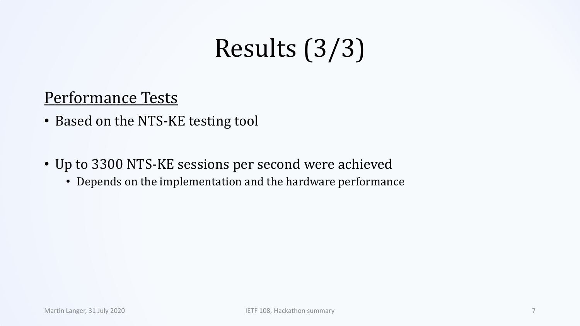### Results (3/3)

#### Performance Tests

- Based on the NTS-KE testing tool
- Up to 3300 NTS-KE sessions per second were achieved
	- Depends on the implementation and the hardware performance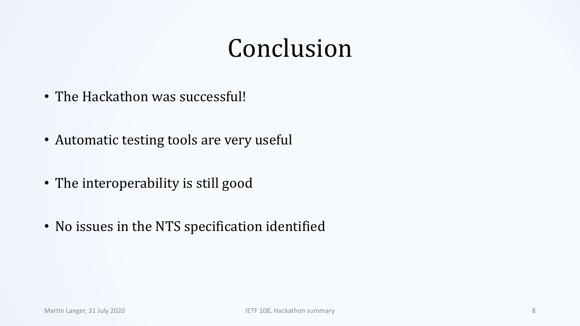### Conclusion

- The Hackathon was successful!
- Automatic testing tools are very useful
- The interoperability is still good
- No issues in the NTS specification identified